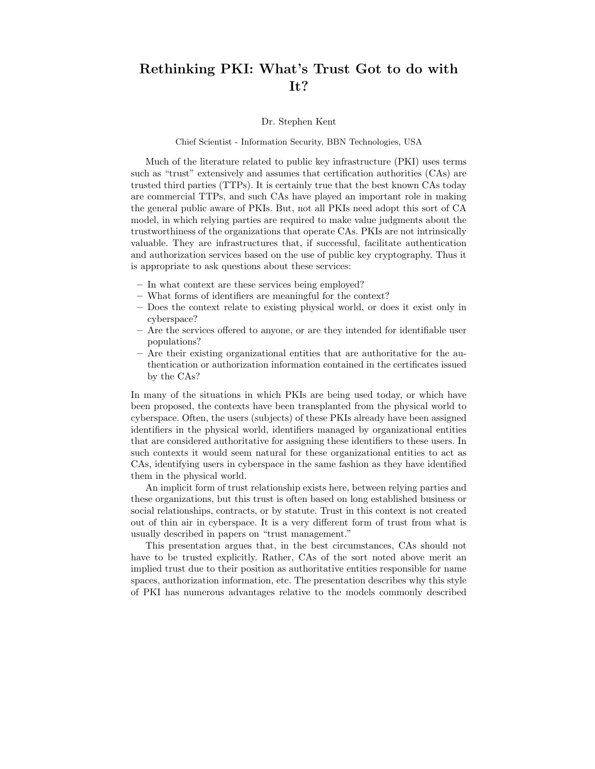## Rethinking PKI: What's Trust Got to do with It?

## Dr. Stephen Kent

## Chief Scientist - Information Security, BBN Technologies, USA

Much of the literature related to public key infrastructure (PKI) uses terms such as "trust" extensively and assumes that certification authorities (CAs) are trusted third parties (TTPs). It is certainly true that the best known CAs today are commercial TTPs, and such CAs have played an important role in making the general public aware of PKIs. But, not all PKIs need adopt this sort of CA model, in which relying parties are required to make value judgments about the trustworthiness of the organizations that operate CAs. PKIs are not intrinsically valuable. They are infrastructures that, if successful, facilitate authentication and authorization services based on the use of public key cryptography. Thus it is appropriate to ask questions about these services:

- In what context are these services being employed?
- What forms of identifiers are meaningful for the context?
- Does the context relate to existing physical world, or does it exist only in cyberspace?
- Are the services offered to anyone, or are they intended for identifiable user populations?
- Are their existing organizational entities that are authoritative for the authentication or authorization information contained in the certificates issued by the CAs?

In many of the situations in which PKIs are being used today, or which have been proposed, the contexts have been transplanted from the physical world to cyberspace. Often, the users (subjects) of these PKIs already have been assigned identifiers in the physical world, identifiers managed by organizational entities that are considered authoritative for assigning these identifiers to these users. In such contexts it would seem natural for these organizational entities to act as CAs, identifying users in cyberspace in the same fashion as they have identified them in the physical world.

An implicit form of trust relationship exists here, between relying parties and these organizations, but this trust is often based on long established business or social relationships, contracts, or by statute. Trust in this context is not created out of thin air in cyberspace. It is a very different form of trust from what is usually described in papers on "trust management."

This presentation argues that, in the best circumstances, CAs should not have to be trusted explicitly. Rather, CAs of the sort noted above merit an implied trust due to their position as authoritative entities responsible for name spaces, authorization information, etc. The presentation describes why this style of PKI has numerous advantages relative to the models commonly described